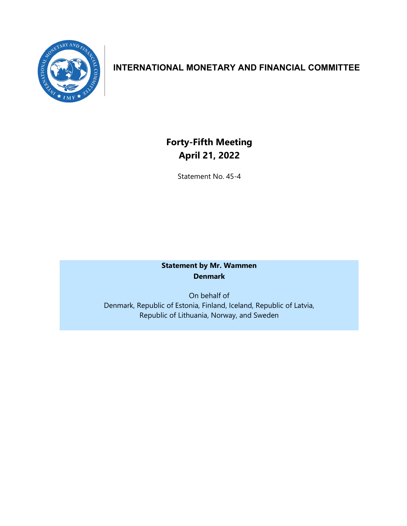

## **INTERNATIONAL MONETARY AND FINANCIAL COMMITTEE**

# **Forty-Fifth Meeting April 21, 2022**

Statement No. 45-4

### **Statement by Mr. Wammen Denmark**

On behalf of Denmark, Republic of Estonia, Finland, Iceland, Republic of Latvia, Republic of Lithuania, Norway, and Sweden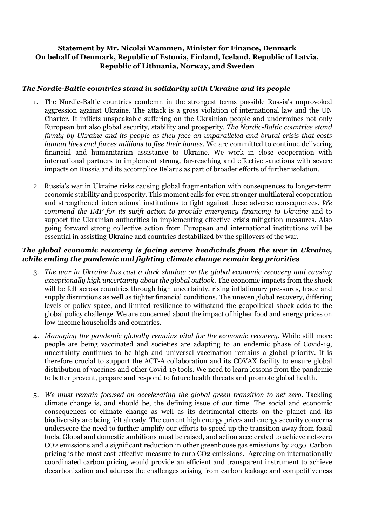#### **Statement by Mr. Nicolai Wammen, Minister for Finance, Denmark On behalf of Denmark, Republic of Estonia, Finland, Iceland, Republic of Latvia, Republic of Lithuania, Norway, and Sweden**

#### *The Nordic-Baltic countries stand in solidarity with Ukraine and its people*

- 1. The Nordic-Baltic countries condemn in the strongest terms possible Russia's unprovoked aggression against Ukraine. The attack is a gross violation of international law and the UN Charter. It inflicts unspeakable suffering on the Ukrainian people and undermines not only European but also global security, stability and prosperity. *The Nordic-Baltic countries stand firmly by Ukraine and its people as they face an unparalleled and brutal crisis that costs human lives and forces millions to flee their homes*. We are committed to continue delivering financial and humanitarian assistance to Ukraine. We work in close cooperation with international partners to implement strong, far-reaching and effective sanctions with severe impacts on Russia and its accomplice Belarus as part of broader efforts of further isolation.
- 2. Russia's war in Ukraine risks causing global fragmentation with consequences to longer-term economic stability and prosperity. This moment calls for even stronger multilateral cooperation and strengthened international institutions to fight against these adverse consequences. *We commend the IMF for its swift action to provide emergency financing to Ukraine* and to support the Ukrainian authorities in implementing effective crisis mitigation measures. Also going forward strong collective action from European and international institutions will be essential in assisting Ukraine and countries destabilized by the spillovers of the war.

#### *The global economic recovery is facing severe headwinds from the war in Ukraine, while ending the pandemic and fighting climate change remain key priorities*

- 3. *The war in Ukraine has cast a dark shadow on the global economic recovery and causing exceptionally high uncertainty about the global outlook*. The economic impacts from the shock will be felt across countries through high uncertainty, rising inflationary pressures, trade and supply disruptions as well as tighter financial conditions. The uneven global recovery, differing levels of policy space, and limited resilience to withstand the geopolitical shock adds to the global policy challenge. We are concerned about the impact of higher food and energy prices on low-income households and countries.
- 4. *Managing the pandemic globally remains vital for the economic recovery*. While still more people are being vaccinated and societies are adapting to an endemic phase of Covid-19, uncertainty continues to be high and universal vaccination remains a global priority. It is therefore crucial to support the ACT-A collaboration and its COVAX facility to ensure global distribution of vaccines and other Covid-19 tools. We need to learn lessons from the pandemic to better prevent, prepare and respond to future health threats and promote global health.
- 5. *We must remain focused on accelerating the global green transition to net zero*. Tackling climate change is, and should be, the defining issue of our time. The social and economic consequences of climate change as well as its detrimental effects on the planet and its biodiversity are being felt already. The current high energy prices and energy security concerns underscore the need to further amplify our efforts to speed up the transition away from fossil fuels. Global and domestic ambitions must be raised, and action accelerated to achieve net-zero CO2 emissions and a significant reduction in other greenhouse gas emissions by 2050. Carbon pricing is the most cost-effective measure to curb CO2 emissions. Agreeing on internationally coordinated carbon pricing would provide an efficient and transparent instrument to achieve decarbonization and address the challenges arising from carbon leakage and competitiveness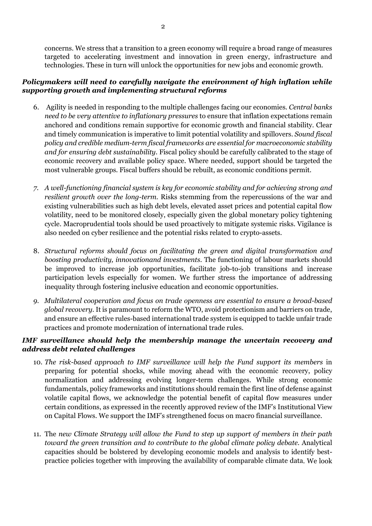concerns. We stress that a transition to a green economy will require a broad range of measures targeted to accelerating investment and innovation in green energy, infrastructure and technologies. These in turn will unlock the opportunities for new jobs and economic growth.

#### *Policymakers will need to carefully navigate the environment of high inflation while supporting growth and implementing structural reforms*

- 6. Agility is needed in responding to the multiple challenges facing our economies. *Central banks need to be very attentive to inflationary pressures* to ensure that inflation expectations remain anchored and conditions remain supportive for economic growth and financial stability. Clear and timely communication is imperative to limit potential volatility and spillovers. *Sound fiscal policy and credible medium-term fiscal frameworks are essential for macroeconomic stability and for ensuring debt sustainability.* Fiscal policy should be carefully calibrated to the stage of economic recovery and available policy space. Where needed, support should be targeted the most vulnerable groups. Fiscal buffers should be rebuilt, as economic conditions permit.
- *7. A well-functioning financial system is key for economic stability and for achieving strong and resilient growth over the long-term.* Risks stemming from the repercussions of the war and existing vulnerabilities such as high debt levels, elevated asset prices and potential capital flow volatility, need to be monitored closely, especially given the global monetary policy tightening cycle. Macroprudential tools should be used proactively to mitigate systemic risks. Vigilance is also needed on cyber resilience and the potential risks related to crypto-assets.
- 8. *Structural reforms should focus on facilitating the green and digital transformation and boosting productivity, innovationand investments.* The functioning of labour markets should be improved to increase job opportunities, facilitate job-to-job transitions and increase participation levels especially for women. We further stress the importance of addressing inequality through fostering inclusive education and economic opportunities.
- *9. Multilateral cooperation and focus on trade openness are essential to ensure a broad-based global recovery*. It is paramount to reform the WTO, avoid protectionism and barriers on trade, and ensure an effective rules-based international trade system is equipped to tackle unfair trade practices and promote modernization of international trade rules.

#### *IMF surveillance should help the membership manage the uncertain recovery and address debt related challenges*

- 10. *The risk-based approach to IMF surveillance will help the Fund support its members* in preparing for potential shocks, while moving ahead with the economic recovery, policy normalization and addressing evolving longer-term challenges. While strong economic fundamentals, policy frameworks and institutions should remain the first line of defense against volatile capital flows, we acknowledge the potential benefit of capital flow measures under certain conditions, as expressed in the recently approved review of the IMF's Institutional View on Capital Flows. We support the IMF's strengthened focus on macro financial surveillance.
- 11. The *new Climate Strategy will allow the Fund to step up support of members in their path toward the green transition and to contribute to the global climate policy debate.* Analytical capacities should be bolstered by developing economic models and analysis to identify bestpractice policies together with improving the availability of comparable climate data. We look